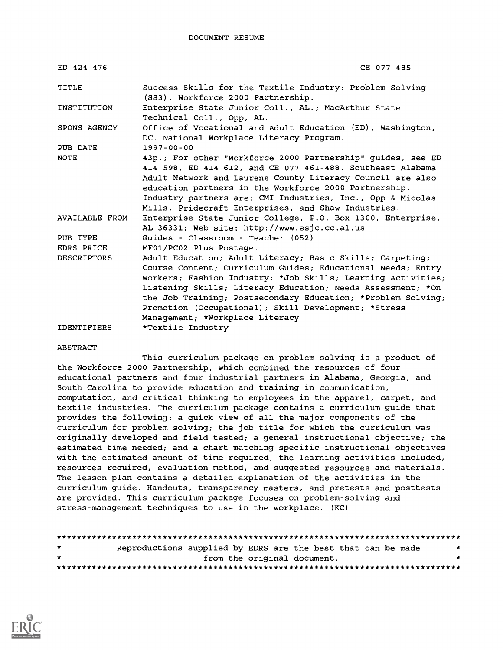DOCUMENT RESUME

| ED 424 476         | CE 077 485                                                                                                                                                                                                                                                                                                                                                                                                         |
|--------------------|--------------------------------------------------------------------------------------------------------------------------------------------------------------------------------------------------------------------------------------------------------------------------------------------------------------------------------------------------------------------------------------------------------------------|
| TITLE              | Success Skills for the Textile Industry: Problem Solving<br>(SS3). Workforce 2000 Partnership.                                                                                                                                                                                                                                                                                                                     |
| INSTITUTION        | Enterprise State Junior Coll., AL.; MacArthur State<br>Technical Coll., Opp, AL.                                                                                                                                                                                                                                                                                                                                   |
| SPONS AGENCY       | Office of Vocational and Adult Education (ED), Washington,<br>DC. National Workplace Literacy Program.                                                                                                                                                                                                                                                                                                             |
| PUB DATE           | $1997 - 00 - 00$                                                                                                                                                                                                                                                                                                                                                                                                   |
| <b>NOTE</b>        | 43p.; For other "Workforce 2000 Partnership" guides, see ED<br>414 598, ED 414 612, and CE 077 461-488. Southeast Alabama<br>Adult Network and Laurens County Literacy Council are also<br>education partners in the Workforce 2000 Partnership.<br>Industry partners are: CMI Industries, Inc., Opp & Micolas<br>Mills, Pridecraft Enterprises, and Shaw Industries.                                              |
| AVAILABLE FROM     | Enterprise State Junior College, P.O. Box 1300, Enterprise,<br>AL 36331; Web site: http://www.esjc.cc.al.us                                                                                                                                                                                                                                                                                                        |
| PUB TYPE           | Guides - Classroom - Teacher (052)                                                                                                                                                                                                                                                                                                                                                                                 |
| EDRS PRICE         | MF01/PC02 Plus Postage.                                                                                                                                                                                                                                                                                                                                                                                            |
| <b>DESCRIPTORS</b> | Adult Education; Adult Literacy; Basic Skills; Carpeting;<br>Course Content; Curriculum Guides; Educational Needs; Entry<br>Workers; Fashion Industry; *Job Skills; Learning Activities;<br>Listening Skills; Literacy Education; Needs Assessment; *On<br>the Job Training; Postsecondary Education; *Problem Solving;<br>Promotion (Occupational); Skill Development; *Stress<br>Management; *Workplace Literacy |
| <b>IDENTIFIERS</b> | *Textile Industry                                                                                                                                                                                                                                                                                                                                                                                                  |

#### ABSTRACT

This curriculum package on problem solving is a product of the Workforce 2000 Partnership, which combined the resources of four educational partners and four industrial partners in Alabama, Georgia, and South Carolina to provide education and training in communication, computation, and critical thinking to employees in the apparel, carpet, and textile industries. The curriculum package contains a curriculum guide that provides the following: a quick view of all the major components of the curriculum for problem solving; the job title for which the curriculum was originally developed and field tested; a general instructional objective; the estimated time needed; and a chart matching specific instructional objectives with the estimated amount of time required, the learning activities included, resources required, evaluation method, and suggested resources and materials. The lesson plan contains a detailed explanation of the activities in the curriculum guide. Handouts, transparency masters, and pretests and posttests are provided. This curriculum package focuses on problem-solving and stress-management techniques to use in the workplace. (KC)

| $\star$ | Reproductions supplied by EDRS are the best that can be made |  |
|---------|--------------------------------------------------------------|--|
| $\star$ | from the original document.                                  |  |
|         |                                                              |  |

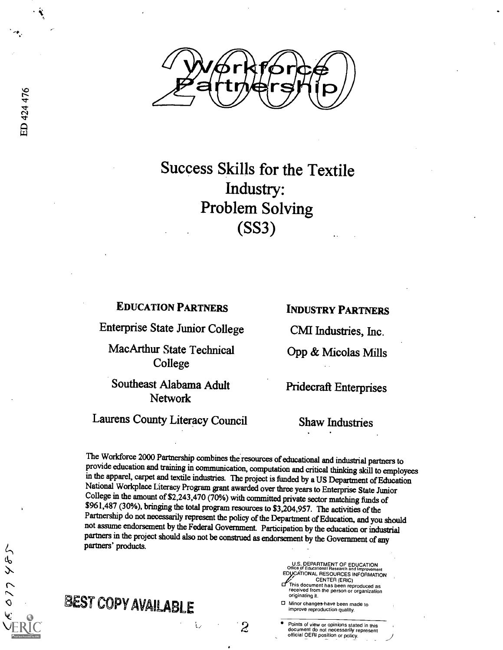

Success Skills for the Textile Industry: Problem Solving (SS3)

#### EDUCATION PARTNERS

Enterprise State Junior College

MacArthur State Technical College

Southeast Alabama Adult Network

## Laurens County Literacy Council

INDUSTRY PARTNERS

CMI Industries, Inc.

Opp & Micolas Mills

Pridecraft Enterprises

Shaw Industries

The Workforce 2000 Partnership combines the resources of educational and industrial partners to provide education and training in communication, computation and critical thinking skill to employees in the apparel, carpet and textile industries. The project is funded by a US Department of Education National Workplace Literacy Program grant awarded over three years to Enterprise State Junior College in the amount of \$2,243,470 (70%) with committed private sector matching funds of \$961,487 (30%), bringing the total program resources to \$3,204,957. The activities of the Partnership do not necessarily represent t not assume endorsement by the Federal Government. Participation by the education or industrial partners in the project should also not be construed as endorsement by the Government of any partners' products.

2

ŧ,

0 Minor changes-have been made to improve reproduction quality.

originating it.

U.S. DEPARTMENT OF EDUCATION Office of Educational Research and Improvement **ÁTIONAL RESOURCES INFORMATION<br>CENTER (ERIC)** CENTER (ERIC) This document has been reproduced as received from the person or organization

Points of view or opinions stated in this document do not necessarily represent official OERI position or policy.

017445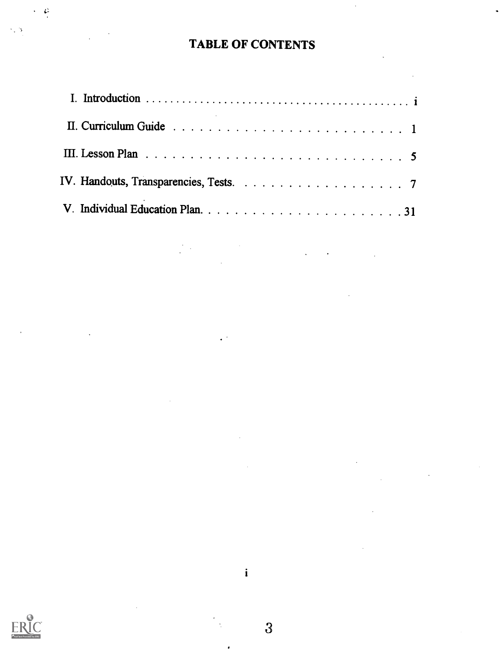# TABLE OF CONTENTS

 $\hat{\mathcal{A}}$ 

 $\mathcal{L}(\mathbf{X})$  and  $\mathcal{L}(\mathbf{X})$  and  $\mathcal{L}(\mathbf{X})$ 

 $\sim 10^{11}$ 

l.

| III. Lesson Plan $\ldots \ldots \ldots \ldots \ldots \ldots \ldots \ldots \ldots \ldots \ldots \ldots 5$ |
|----------------------------------------------------------------------------------------------------------|
|                                                                                                          |
|                                                                                                          |

 $\label{eq:2.1} \frac{1}{\sqrt{2}}\int_{0}^{\infty}\frac{1}{\sqrt{2\pi}}\int_{0}^{\infty}\frac{1}{\sqrt{2\pi}}\int_{0}^{\infty}\frac{1}{\sqrt{2\pi}}\int_{0}^{\infty}\frac{1}{\sqrt{2\pi}}\int_{0}^{\infty}\frac{1}{\sqrt{2\pi}}\int_{0}^{\infty}\frac{1}{\sqrt{2\pi}}\int_{0}^{\infty}\frac{1}{\sqrt{2\pi}}\int_{0}^{\infty}\frac{1}{\sqrt{2\pi}}\int_{0}^{\infty}\frac{1}{\sqrt{2\pi}}\int_{0}^{\infty}\frac{$ 

 $\mathcal{L}^{\text{max}}_{\text{max}}$ 

 $\mathcal{L}^{(1)}$ 

 $\sim 10$ 

 $\mathcal{L}_{\text{eff}}$ 



 $\cdot$   $\circ$ 

 $\hat{\mathbf{r}}$ 

 $\sim$  3

 $\overline{3}$ 

1

 $\bullet$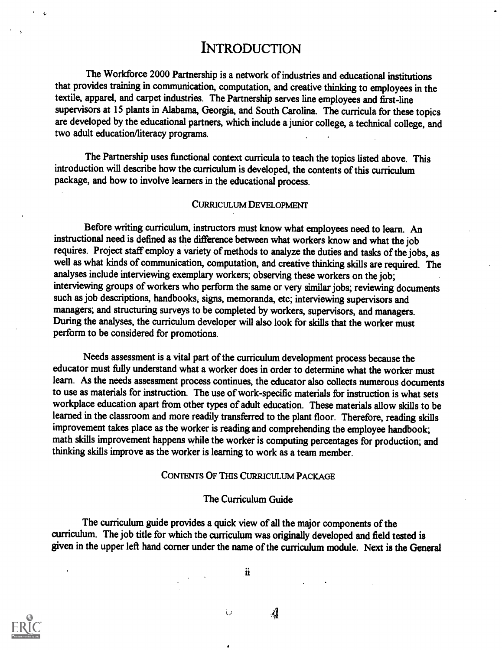## **INTRODUCTION**

The Workforce 2000 Partnership is a network of industries and educational institutions that provides training in communication, computation, and creative thinking to employees in the textile, apparel, and carpet industries. The Partnership serves line employees and first-line supervisors at 15 plants in Alabama, Georgia, and South Carolina. The curricula for these topics are developed by the educational partners, which include a junior college, a technical college, and two adult education/literacy programs.

The Partnership uses functional context curricula to teach the topics listed above. This introduction will describe how the curriculum is developed, the contents of this curriculum package, and how to involve learners in the educational process.

#### CURRICULUM DEVELOPMENT

Before writing curriculum, instructors must know what employees need to learn. An instructional need is defmed as the difference between what workers know and what the job requires. Project staff employ a variety of methods to analyze the duties and tasks of the jobs, as well as what kinds of communication, computation, and creative thinking skills are required. The analyses include interviewing exemplary workers; observing these workers on the job; interviewing groups of workers who perform the same or very similar jobs; reviewing documents such as job descriptions, handbooks, signs, memoranda, etc; interviewing supervisors and managers; and structuring surveys to be completed by workers, supervisors, and managers. During the analyses, the curriculum developer will also look for skills that the worker must perform to be considered for promotions.

Needs assessment is a vital part of the curriculum development process because the educator must fully understand what a worker does in order to determine what the worker must learn. As the needs assessment process continues, the educator also collects numerous documents to use as materials for instruction. The use of work-specific materials for instruction is what sets workplace education apart from other types of adult education. These materials allow skills to be learned in the classroom and more readily transferred to the plant floor. Therefore, reading skills improvement takes place as the worker is reading and comprehending the employee handbook; math skills improvement happens while the worker is computing percentages for production; and thinking skills improve as the worker is learning to work as a team member.

#### CONTENTS OF THIS CURRICULUM PACKAGE

#### The Curriculum Guide

The curriculum guide provides a quick view of all the major components of the curriculum. The job title for which the curriculum was originally developed and field tested is given in the upper left hand corner under the name of the curriculum module. Next is the General

ü

Ù

 $\mathcal{A}$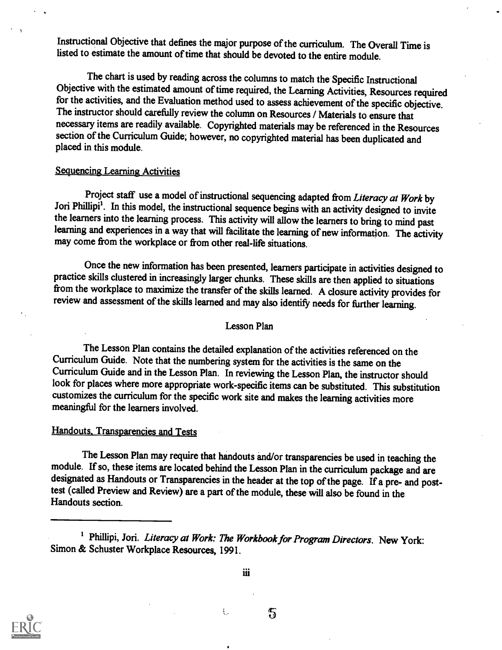Instructional Objective that defines the major purpose of the curriculum. The Overall Time is listed to estimate the amount of time that should be devoted to the entire module.

The chart is used by reading across the columns to match the Specific Instructional Objective with the estimated amount of time required, the Learning Activities, Resources required for the activities, and the Evaluation method used to assess achievement of the specific objective. The instructor should carefully review the column on Resources / Materials to ensure that necessary items are readily available. Copyrighted materials may be referenced in the Resources section of the Curriculum Guide; however, no copyrighted material has been duplicated and placed in this module.

#### Sequencing Learning Activities

Project staff use a model of instructional sequencing adapted from Literacy at Work by Jori Phillipi'. In this model, the instructional sequence begins with an activity designed to invite the learners into the learning process. This activity will allow the learners to bring to mind past learning and experiences in a way that will facilitate the learning of new information. The activity may come from the workplace or from other real-life situations.

Once the new information has been presented, learners participate in activities designed to practice skills clustered in increasingly larger chunks. These skills are then applied to situations from the workplace to maximize the transfer of the skills learned. A closure activity provides for review and assessment of the skills learned and may also identify needs for further learning.

#### Lesson Plan

The Lesson Plan contains the detailed explanation of the activities referenced on the Curriculum Guide. Note that the numbering system for the activities is the same on the Curriculum Guide and in the Lesson Plan. In reviewing the Lesson Plan, the instructor should look for places where more appropriate work-specific items can be substituted. This substitution customizes the curriculum for the specific work site and makes the learning activities more meaningful for the learners involved.

#### Handouts. Transparencies and Tests

The Lesson Plan may require that handouts and/or transparencies be used in teaching the module. If so, these items are located behind the Lesson Plan in the curriculum package and are designated as Handouts or Transparencies in the header at the top of the page. If a pre- and posttest (called Preview and Review) are a part of the module, these will also be found in the Handouts section.

ŧ.



iii

笱

<sup>&</sup>lt;sup>1</sup> Phillipi, Jori. Literacy at Work: The Workbook for Program Directors. New York: Simon & Schuster Workplace Resources, 1991.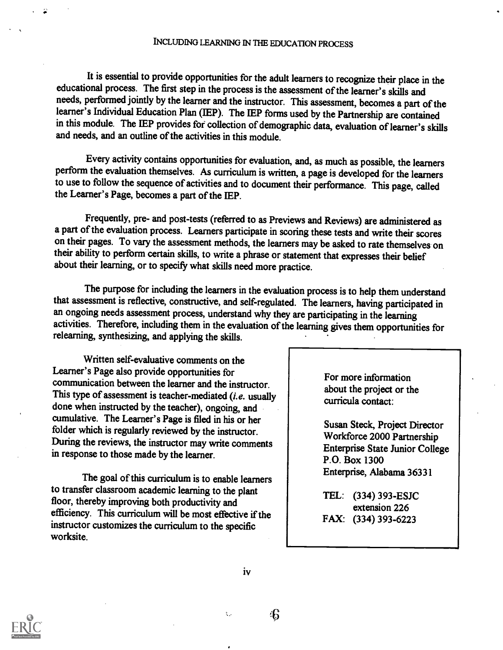It is essential to provide opportunities for the adult learners to recognize their place in the educational process. The first step in the process is the assessment of the learner's skills and needs, performed jointly by the learner and the instructor. This assessment, becomes a part of the learner's Individual Education Plan (IEP). The IEP forms used by the Partnership are contained in this module. The LEP provides fof collection of demographic data, evaluation of learner's skills and needs, and an outline of the activities in this module.

Every activity contains opportunities for evaluation, and, as much as possible, the learners perform the evaluation themselves. As curriculum is written, a page is developed for the learners to use to follow the sequence of activities and to document their performance. This page, called the Learner's Page, becomes a part of the 1EP.

Frequently, pre- and post-tests (referred to as Previews and Reviews) are administered as a part of the evaluation process. Learners participate in scoring these tests and write their scores on their pages. To vary the assessment methods, the learners may be asked to rate themselves on their ability to perform certain skills, to write a phrase or statement that expresses their belief about their learning, or to specify what skills need more practice.

The purpose for including the learners in the evaluation process is to help them understand that assessment is reflective, constructive, and self-regulated. The learners, having participated in an ongoing needs assessment process, understand why they are participating in the learning activities. Therefore, including them in the evaluation of the learning gives them opportunities for relearning, synthesizing, and applying the skills.

Written self-evaluative comments on the Learner's Page also provide opportunities for communication between the learner and the instructor. This type of assessment is teacher-mediated (i.e. usually done when instructed by the teacher), ongoing, and cumulative. The Learner's Page is filed in his or her folder which is regularly reviewed by the instructor. During the reviews, the instructor may write comments in response to those made by the learner.

The goal of this curriculum is to enable learners to transfer classroom academic learning to the plant floor, thereby improving both productivity and efficiency. This curriculum will be most effective if the instructor customizes the curriculum to the specific worksite.

For more information about the project or the curricula contact:

Susan Steck, Project Director Workforce 2000 Partnership Enterprise State Junior College P.O. Box 1300 Enterprise, Alabama 36331

TEL: (334) 393-ESJC extension 226 FAX: (334) 393-6223



iv

46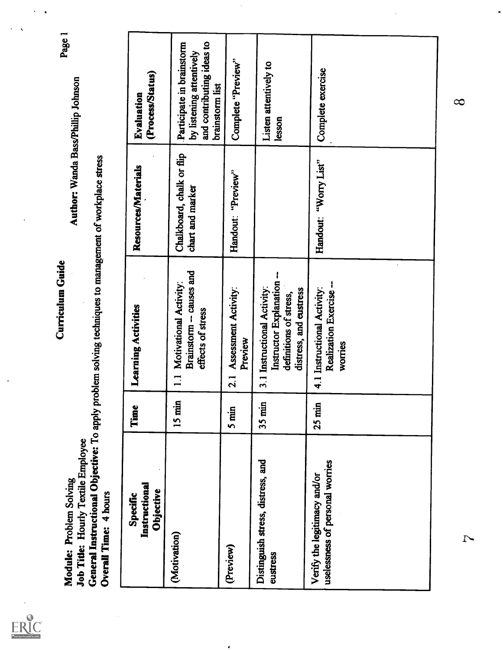ERIC

Module: Problem Solving<br>Job Title: Hourly Textile Employee<br>General Instructional Objective: To apply problem solving techniques to management of workplace stress

| General Instructional Objective: To apply<br><b>Job Title: Hourly Textile Employee</b><br>Module: Problem Solving<br>Overall Time: 4 hours |                  | problem solving techniques to management of workplace stress<br>DIND MINITER                                 | Author: Wanda Bass/Phillip Johnson            | Page 1                                                                                                |  |
|--------------------------------------------------------------------------------------------------------------------------------------------|------------------|--------------------------------------------------------------------------------------------------------------|-----------------------------------------------|-------------------------------------------------------------------------------------------------------|--|
| Instructional<br><b>Objective</b><br>Specific                                                                                              | Time             | Learning Activities                                                                                          | Resources/Materials                           | (Process/Status)<br>Evaluation                                                                        |  |
| (Motivation)                                                                                                                               | $15 \text{ min}$ | Brainstorm - causes and<br>Motivational Activity:<br>effects of stress<br>$\mathbf{I}$                       | Chalkboard, chalk or flip<br>chart and marker | and contributing ideas to<br>Participate in brainstorm<br>by listening attentively<br>brainstorm list |  |
| (Preview)                                                                                                                                  | $5 \text{min}$   | Assessment Activity:<br>Preview<br>2.1                                                                       | Handout: "Preview"                            | Complete "Preview"                                                                                    |  |
| Distinguish stress, distress, and<br>eustress                                                                                              | $35$ min         | Instructor Explanation --<br>3.1 Instructional Activity:<br>distress, and eustress<br>definitions of stress, |                                               | Listen attentively to<br>lesson                                                                       |  |
| uselessness of personal worries<br>Verify the legitimacy and/or                                                                            | $25$ min         | Realization Exercise-<br>4.1 Instructional Activity:<br>worries                                              | Handout: "Worry List"                         | Complete exercise                                                                                     |  |
|                                                                                                                                            |                  |                                                                                                              |                                               |                                                                                                       |  |

 $\cdot$ 

 $\overline{1}$ 

 $\infty$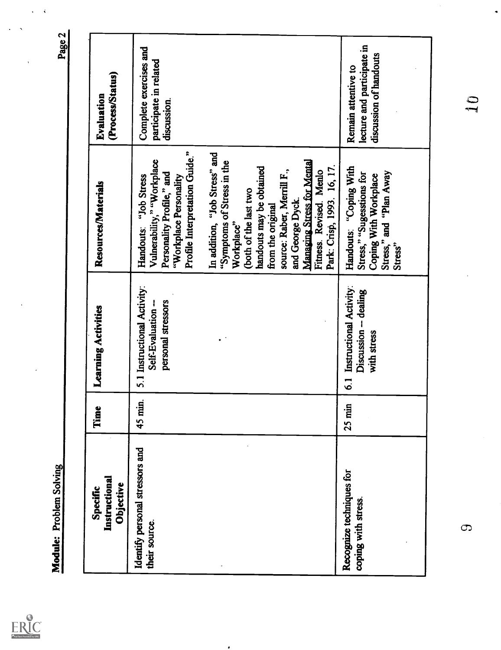| Module: Problem Solving                          |          |                                                                                   |                                                                                                                                                                                                                                                                                                                                                                                                                                                        | Page 2                                                                      |
|--------------------------------------------------|----------|-----------------------------------------------------------------------------------|--------------------------------------------------------------------------------------------------------------------------------------------------------------------------------------------------------------------------------------------------------------------------------------------------------------------------------------------------------------------------------------------------------------------------------------------------------|-----------------------------------------------------------------------------|
|                                                  |          |                                                                                   |                                                                                                                                                                                                                                                                                                                                                                                                                                                        |                                                                             |
| Instructional<br>Objective<br>Specific           | Ĕ        | Learning Activities                                                               | Resources/Materials                                                                                                                                                                                                                                                                                                                                                                                                                                    | (Process/Status)<br>Evaluation                                              |
| Identify personal stressors and<br>their source. | 45 min.  | 5.1 Instructional Activity:<br>personal stressors<br>Self-Evaluation -            | Profile Interpretation Guide."<br>In addition, "Job Stress" and<br>Vulnerability," "Workplace<br><b>Managing Stress for Mental</b><br>"Symptoms of Stress in the<br>Park: Crisp, 1993. 16, 17.<br>handouts may be obtained<br>source: Raber, Merrill F.,<br>Fitness. Revised. Menlo<br>Personality Profile," and<br>"Job Stress<br>"Workplace Personality<br>(both of the last two<br>and George Dyck.<br>from the original<br>Workplace"<br>Handouts: | Complete exercises and<br>participate in related<br>discussion.             |
| Recognize techniques for<br>coping with stress   | $25$ min | Instructional Activity:<br>Discussion -- dealing<br>with stress<br>$\overline{6}$ | "Coping With<br>Stress," and "Plan Away<br>Stress," "Sugesstions for<br>Coping With Workplace<br>Handouts:<br>Stress"                                                                                                                                                                                                                                                                                                                                  | lecture and participate in<br>discussion of handouts<br>Remain attentive to |
| $\mathbb{C}$                                     |          |                                                                                   |                                                                                                                                                                                                                                                                                                                                                                                                                                                        | IJ                                                                          |
|                                                  |          |                                                                                   |                                                                                                                                                                                                                                                                                                                                                                                                                                                        |                                                                             |

 $\bullet$ 

 $\hat{\mathbf{v}}$  $\ddot{\phantom{0}}$ 

ERIC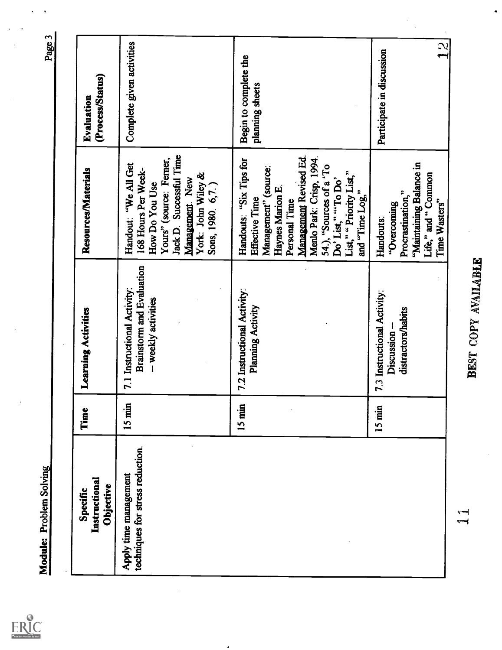| Module: Problem Solving                                   |          |                                                                                         |                                                                                                                                                                                                                                                                    | Page 3                                    |
|-----------------------------------------------------------|----------|-----------------------------------------------------------------------------------------|--------------------------------------------------------------------------------------------------------------------------------------------------------------------------------------------------------------------------------------------------------------------|-------------------------------------------|
|                                                           |          |                                                                                         |                                                                                                                                                                                                                                                                    |                                           |
| Instructional<br>Objective<br>Specific                    | Time     | Learning Activities                                                                     | Resources/Materials                                                                                                                                                                                                                                                | (Process/Status)<br>Evaluation            |
| techniques for stress reduction.<br>Apply time management | $15$ min | <b>Brainstorm and Evaluation</b><br>7.1 Instructional Activity:<br>-- weekly activities | Jack D. Successful Time<br>Yours" (source: Ferner,<br>Handout: "We All Get<br>168 Hours Per Week-<br>York: John Wiley &<br>Management. New<br>Sons, 1980. 6,7.)<br>How Do You Use                                                                                  | Complete given activities                 |
|                                                           | $15$ min | 7.2 Instructional Activity:<br>Planning Activity                                        | Management Revised Ed.<br>Menlo Park: Crisp, 1994.<br>Handouts: "Six Tips for<br>54.), "Sources of a 'To<br>Management" (source:<br>List," "Priority List,"<br>Do' List," "To Do'<br>Haynes Marion E.<br>and "Time Log,"<br><b>Effective Time</b><br>Personal Time | Begin to complete the<br>planning sheets  |
|                                                           | 15 min   | 7.3 Instructional Activity:<br>distractors/habits<br>Discussion                         | "Maintaining Balance in<br>Life," and "Common<br>Procrastination,"<br>Time Wasters"<br>''Overcoming<br>Handouts:                                                                                                                                                   | $\mathbb{Q}$<br>Participate in discussion |
| $\bar{z}$<br>$\overline{\phantom{0}}$                     |          | BEST COPY AVAILABLE                                                                     |                                                                                                                                                                                                                                                                    |                                           |
|                                                           |          |                                                                                         |                                                                                                                                                                                                                                                                    |                                           |

 $ERC$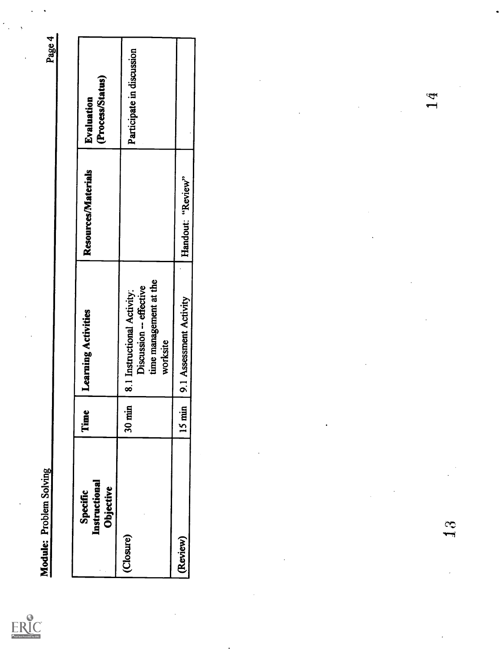| Specific<br>Instructional<br>Objective | Time     | Learning Activities                                                                          | Resources/Materials | (Process/Status)<br>Evaluation |
|----------------------------------------|----------|----------------------------------------------------------------------------------------------|---------------------|--------------------------------|
| (Closure)                              | 30 min   | time management at the<br>Discussion -- effective<br>8.1 Instructional Activity:<br>worksite |                     | Participate in discussion      |
| (Review)                               | $15$ min | 9.1 Assessment Activity                                                                      | Handout: "Review"   |                                |
|                                        |          |                                                                                              |                     |                                |

 $14$ 

 $\mathbf{3}$ 

 $\underset{\star_{\text{full bar} \, \text{b}}}{\text{ERIC}}$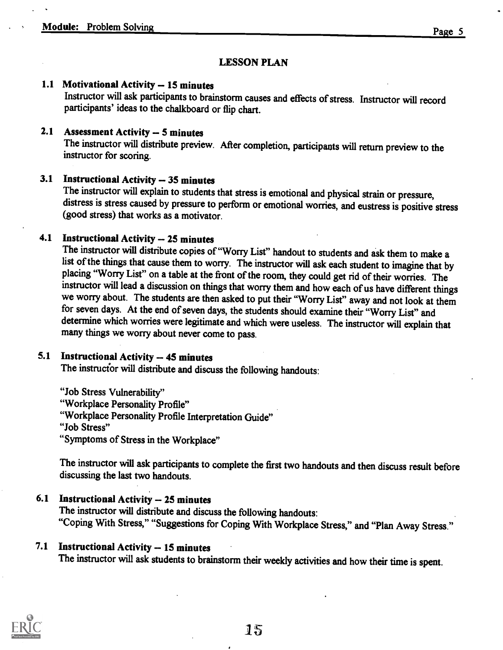#### LESSON PLAN

### 1.1 Motivational Activity -- 15 minutes

Instructor will ask participants to brainstorm causes and effects of stress. Instructor will record participants' ideas to the chalkboard or flip chart.

### 2.1 Assessment Activity  $-5$  minutes

The instructor will distribute preview. After completion, participants will return preview to the instructor for scoring.

3.1 Instructional Activity -- 35 minutes<br>The instructor will explain to students that stress is emotional and physical strain or pressure, distress is stress caused by pressure to perform or emotional worries, and eustress is positive stress (good stress) that works as a motivator.

### 4.1 Instructional Activity - 25 minutes

The instructor will distribute copies of "Worry List" handout to students and ask them to make a list of the things that cause them to worry. The instructor will ask each student to imagine that by placing "Worry List" on a table at the front of the room, they could get rid of their worries. The instructor will lead a discussion on things that worry them and how each of us have different things we worry about. The students are then asked to put their "Worry List" away and not look at them for seven days. At the end of seven days, the students should examine their "Worry List" and determine which worries were legitimate and which were useless. The instructor will explain that many things we worry about never come to pass.

### 5.1 Instructional Activity -- 45 minutes

The instructor will distribute and discuss the following handouts:

"Job Stress Vulnerability" "Workplace Personality Profile" "Workplace Personality Profile Interpretation Guide" "Job Stress" "Symptoms of Stress in the Workplace"

The instructor will ask participants to complete the first two handouts and then discuss result before discussing the last two handouts.

#### 6.1 Instructional Activity -- 25 minutes

The instructor will distribute and discuss the following handouts: "Coping With Stress," "Suggestions for Coping With Workplace Stress," and "Plan Away Stress."

### 7.1 Instructional Activity -- 15 minutes

The instructor will ask students to brainstorm their weekly activities and how their time is spent.

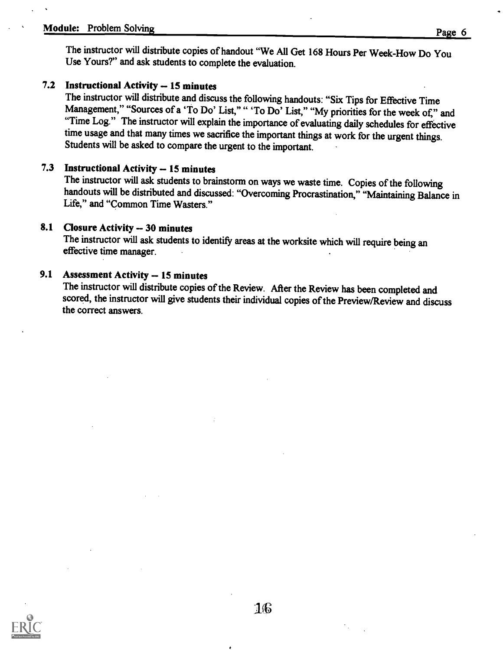## Module: Problem Solving Page 6

The instructor will distribute copies of handout "We All Get 168 Hours Per Week-How Do You Use Yours?" and ask students to complete the evaluation.

### 7.2 Instructional Activity -- 15 minutes

The instructor will distribute and discuss the following handouts: "Six Tips for Effective Time Management," "Sources of a 'To Do' List," " 'To Do' List," "My priorities for the week of," and "Time Log." The instructor will explain the importance of evaluating daily schedules for effective time usage and that many times we sacrifice the important things at work for the urgent things. Students will be asked to compare the urgent to the important.

#### 7.3 Instructional Activity -- 15 minutes

The instructor will ask students to brainstorm on ways we waste time. Copies of the following handouts will be distributed and discussed: "Overcoming Procrastination," "Maintaining Balance in Life," and "Common Time Wasters."

#### 8.1 Closure Activity - 30 minutes

The instructor will ask students to identify areas at the worksite which will require being an effective time manager.

### 9.1 Assessment Activity -- 15 minutes

The instructor will distribute copies of the Review. After the Review has been completed and scored, the instructor will give students their individual copies of the Preview/Review and discuss the correct answers.

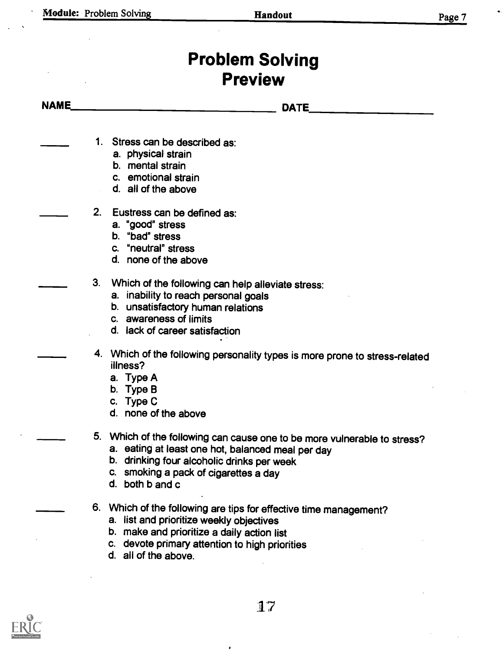# Problem Solving Preview

NAME DATE

- 1. Stress can be described as:
	- a. physical strain
	- b. mental strain
	- c. emotional strain
	- d. all of the above
- 2. Eustress can be defined as:
	- a. "good" stress
	- b. "bad" stress
	- c. "neutral" stress
	- d. none of the above
- 3. Which of the following can help alleviate stress:
	- a. inability to reach personal goals
	- b. unsatisfactory human relations
	- c. awareness of limits
	- d. lack of career satisfaction
- 4. Which of the following personality types is more prone to stress-related illness?
	- a. Type A
	- b. Type B
	- c. Type C
	- d. none of the above
- 5. Which of the following can cause one to be more vulnerable to stress?
	- a. eating at least one hot, balanced meal per day
	- b. drinking four alcoholic drinks per week
	- c. smoking a pack of cigarettes a day
	- d. both b and c
- 6. Which of the following are tips for effective time management?
	- a. list and prioritize weekly objectives
	- b. make and prioritize a daily action list
	- c. devote primary attention to high priorities
	- d. all of the above.

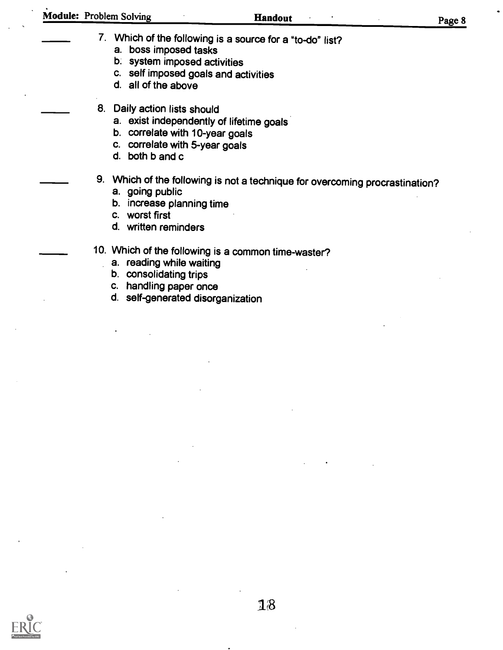| Module: Problem Solving | Handout | Page 8 |  |
|-------------------------|---------|--------|--|
|                         |         |        |  |

- 7. Which of the following is a source for a "to-do" list? a. boss imposed tasks
	- b. system imposed activities
	- c. self imposed goals and activities
	- d. all of the above
- 8. Daily action lists should
	- a. exist independently of lifetime goals
	- b. correlate with 10-year goals
	- c. correlate with 5-year goals
	- d. both b and c
- 9. Which of the following is not a technique for overcoming procrastination? a. going public
	-
	- b. increase planning time
	- c. worst first
	- d. written reminders
- 10. Which of the following is a common time-waster?
	- a. reading while waiting
	- b. consolidating trips
	- c. handling paper once
	- d. self-generated disorganization

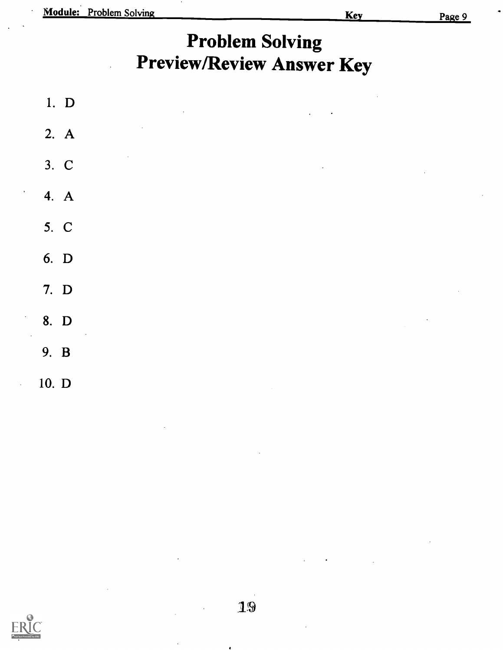|       | 1. D   |            | $\sim$ |               | $\bullet$<br>$\sim 10^{-10}$ m $^{-1}$                                            | $\sim 100$ |           |
|-------|--------|------------|--------|---------------|-----------------------------------------------------------------------------------|------------|-----------|
|       | 2. A   | $\epsilon$ |        |               |                                                                                   |            |           |
|       | 3. C   | $\epsilon$ |        |               | $\mathcal{L}^{\text{max}}_{\text{max}}$ , $\mathcal{L}^{\text{max}}_{\text{max}}$ |            | $\alpha$  |
|       | 4. $A$ |            |        |               |                                                                                   |            |           |
|       | 5. C   |            |        |               |                                                                                   |            |           |
|       | 6. D   |            |        |               |                                                                                   |            |           |
| 7. D  |        |            |        |               |                                                                                   |            |           |
| 8. D  | $\sim$ |            |        |               |                                                                                   | $\sim$     | $\bullet$ |
| 9. B  |        |            |        |               |                                                                                   |            |           |
| 10. D |        |            |        | $\sim$ $\sim$ |                                                                                   |            |           |

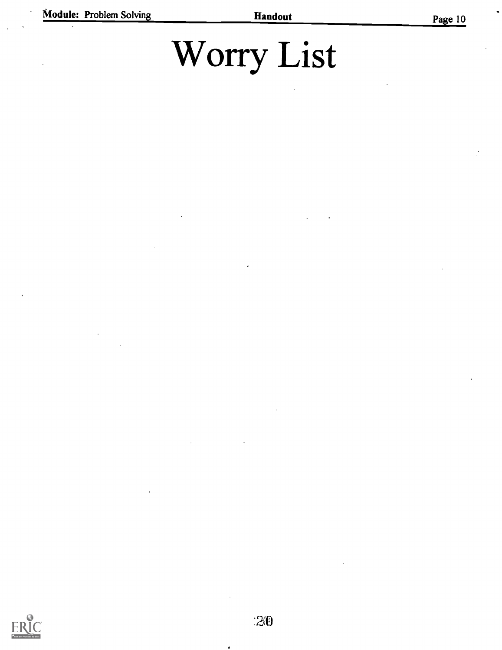# Worry List

 $\bullet$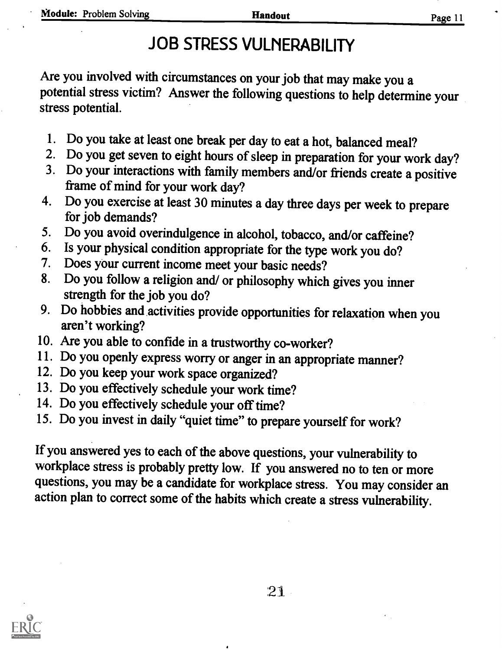# JOB STRESS VULNERABILITY

Are you involved with circumstances on your job that may make you a potential stress victim? Answer the following questions to help determine your stress potential.

- 1. Do you take at least one break per day to eat a hot, balanced meal?
- 2. Do you get seven to eight hours of sleep in preparation for your work day?
- 3. Do your interactions with family members and/or friends create a positive frame of mind for your work day?
- 4. Do you exercise at least 30 minutes a day three days per week to prepare for job demands?
- 5. Do you avoid overindulgence in alcohol, tobacco, and/or caffeine?<br>6. Is your physical condition appropriate for the type work you do?
- 6. Is your physical condition appropriate for the type work you do?<br>7. Does your current income meet your basic needs?
- 7. Does your current income meet your basic needs?<br>8. Do you follow a religion and/or philosophy which
- 8. Do you follow a religion and/ or philosophy which gives you inner strength for the job you do?
- 9. Do hobbies and activities provide opportunities for relaxation when you aren't working?
- 10. Are you able to confide in a trustworthy co-worker?
- 11. Do you openly express wony or anger in an appropriate manner?
- 12. Do you keep your work space organized?
- 13. Do you effectively schedule your work time?
- 14. Do you effectively schedule your off time?
- 15. Do you invest in daily "quiet time" to prepare yourself for work?

If you answered yes to each of the above questions, your vulnerability to workplace stress is probably pretty low. If you answered no to ten or more questions, you may be a candidate for workplace stress. You may consider an action plan to correct some of the habits which create a stress vulnerability.

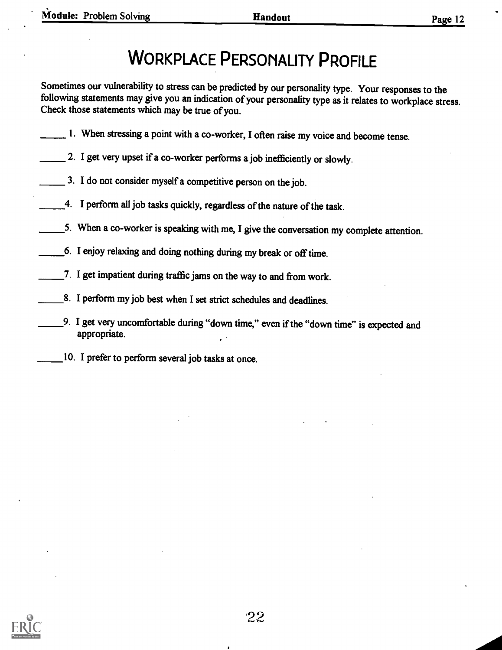# WORKPLACE PERSONALITY PROFILE

Sometimes our vulnerability to stress can be predicted by our personality type. Your responses to the following statements may give you an indication of your personality type as it relates to workplace stress. Check those statements which may be true of you.

- 1. When stressing a point with a co-worker, I often raise my voice and become tense.
- 2. I get very upset if a co-worker performs a job inefficiently or slowly.
- $\frac{3}{10}$ . I do not consider myself a competitive person on the job.
- 4. I perform all job tasks quickly, regardless of the nature of the task.
- 5. When a co-worker is speaking with me, I give the conversation my complete attention.
- 6. I enjoy relaxing and doing nothing during my break or off time.
- 7. I get impatient during traffic jams on the way to and from work.
- 8. I perform my job best when I set strict schedules and deadlines.
- 9. I get very uncomfortable during "down time," even if the "down time" is expected and appropriate.
- 10. I prefer to perform several job tasks at once.

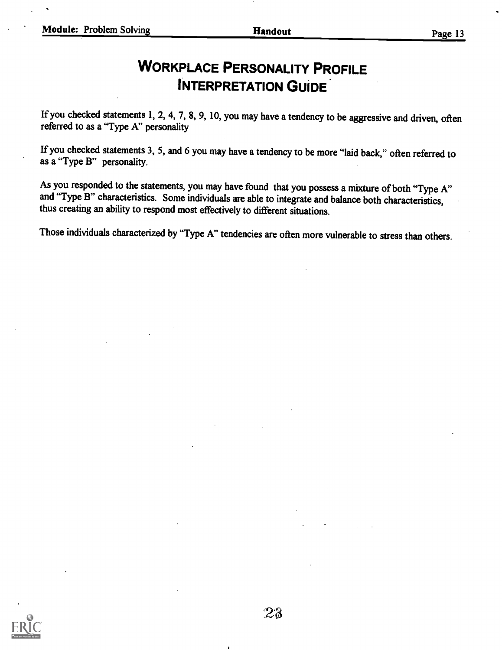## WORKPLACE PERSONALITY PROFILE INTERPRETATION GUIDE

If you checked statements 1, 2, 4, 7, 8, 9, 10, you may have a tendency to be aggressive and driven, often referred to as a "Type A" personality

If you checked statements 3, 5, and 6 you may have a tendency to be more "laid back," often referred to as a "Type B" personality.

As you responded to the statements, you may have found that you possess a mixture of both "Type A" and "Type B" characteristics. Some individuals are able to integrate and balance both characteristics, thus creating an ability to respond most effectively to different situations.

Those individuals characterized by "Type A" tendencies are often more vulnerable to stress than others.

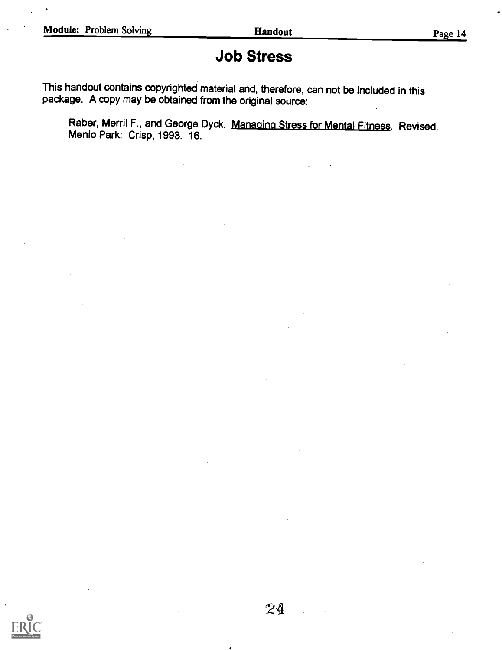## Job Stress

This handout contains copyrighted material and, therefore, can not be included in this package. A copy may be obtained from the original source:

Raber, Merril F., and George Dyck. Managing Stress for Mental Fitness. Revised. Menlo Park: Crisp, 1993. 16.

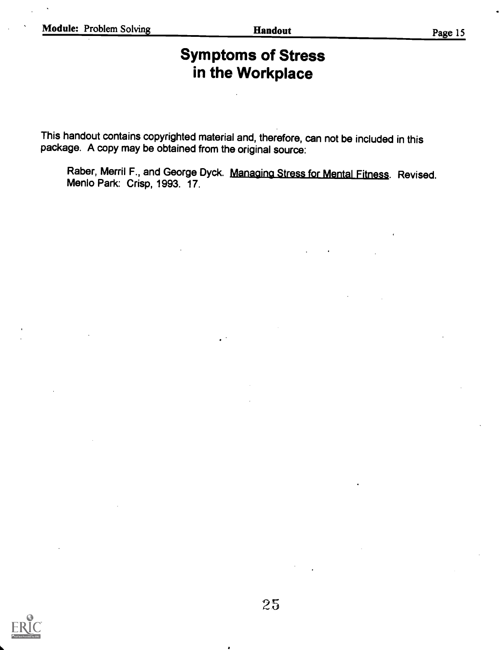## Symptoms of Stress in the Workplace

This handout contains copyrighted material and, therefore, can not be included in this package. A copy may be obtained from the original source:

Raber, Merril F., and George Dyck. Managing Stress for Mental Fitness. Revised. Menlo Park: Crisp, 1993. 17.

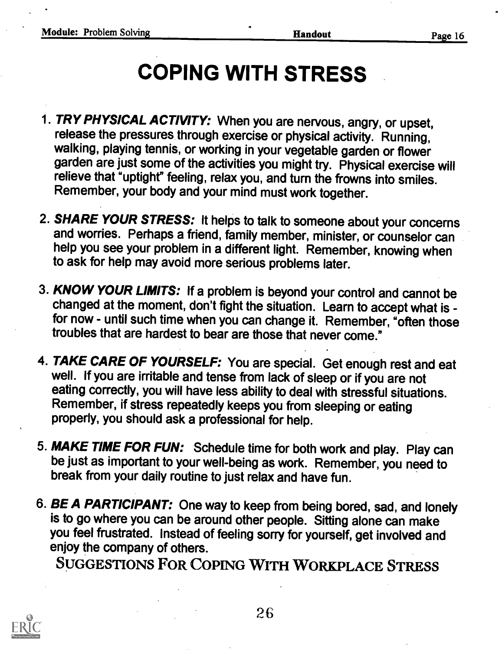# COPING WITH STRESS

- 1. TRY PHYSICAL ACTIVITY: When you are nervous, angry, or upset, release the pressures through exercise or physical activity. Running, walking, playing tennis, or working in your vegetable garden or flower garden are just some of the activities you might try. Physical exercise will relieve that "uptight" feeling, relax you, and turn the frowns into smiles. Remember, your body and your mind must work together.
- 2. SHARE YOUR STRESS: It helps to talk to someone about your concerns and worries. Perhaps a friend, family member, minister, or counselor can help you see your problem in a different light. Remember, knowing when to ask for help may avoid more serious problems later.
- 3. KNOW YOUR LIMITS: If a problem is beyond your control and cannot be changed at the moment, don't fight the situation. Learn to accept what is for now - until such time when you can change it. Remember, "often those troubles that are hardest to bear are those that never come."
- 4. TAKE CARE OF YOURSELF: You are special. Get enough rest and eat well. If you are irritable and tense from lack of sleep or if you are not eating correctly, you will have less ability to deal with stressful situations. Remember, if stress repeatedly keeps you from sleeping or eating properly, you should ask a professional for help.
- 5. MAKE TIME FOR FUN: Schedule time for both work and play. Play can be just as important to your well-being as work. Remember, you need to break from your daily routine to just relax and have fun.
- 6. BE A PARTICIPANT: One way to keep from being bored, sad, and lonely is to go where you can be around other people. Sitting alone can make you feel frustrated. Instead of feeling sorry for yourself, get involved and enjoy the company of others.

SUGGESTIONS FOR COPING WITH WORKPLACE STRESS



26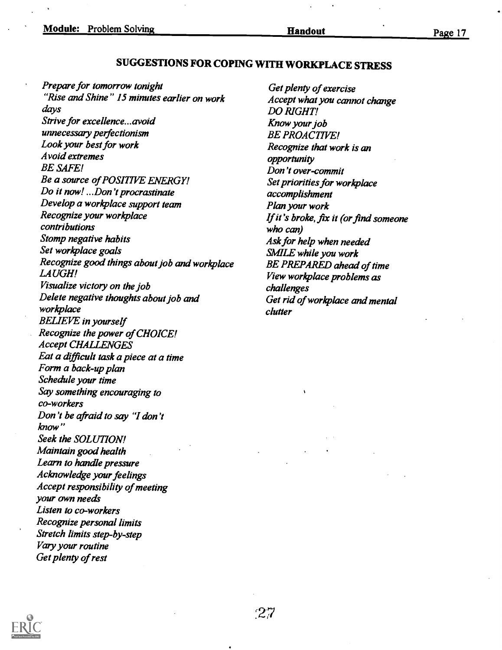## SUGGESTIONS FOR COPING WITH WORKPLACE STRESS

Prepare for tomorrow tonight "Rise and Shine" 15 minutes earlier on work days Strive for excellence...avoid unnecessary perfectionism Look your best for work Avoid extremes BE SAFE! Be a source of POSITIVE ENERGY! Do it now! ...Don't procrastinate Develop a workplace support team Recognize your workplace contributions Stomp negative habits Set workplace goals Recognize good things about job and workplace LAUGH! Visualize victory on the job Delete negative thoughts about job and workplace BELIEVE in yourself Recognize the power of CHOICE! Accept CHALLENGES Eat a difficult task a piece at a time Form a back-up plan Schedule your time Say something encouraging to co-workers Don 't be afraid to say "1 don't know" Seek the SOLUTION! Maintain good health Learn to handle pressure Acknowledge your feelings Accept responsibility of meeting your own needs Listen to co-workers Recognize personal limits Stretch limits step-by-step Vary your routine Get plenty of rest

Get plenty of exercise Accept what you cannot change DO RIGHT! Know your job BE PROACTIVE! Recognize that work is an opportunity Don't over-commit Set priorities for workplace accomplishment Plan your work If it's broke, fix it (or find someone who can) Ask for help when needed SMILE while you work BE PREPARED ahead of time View workplace problems as challenges Get rid of workplace and mental clutter

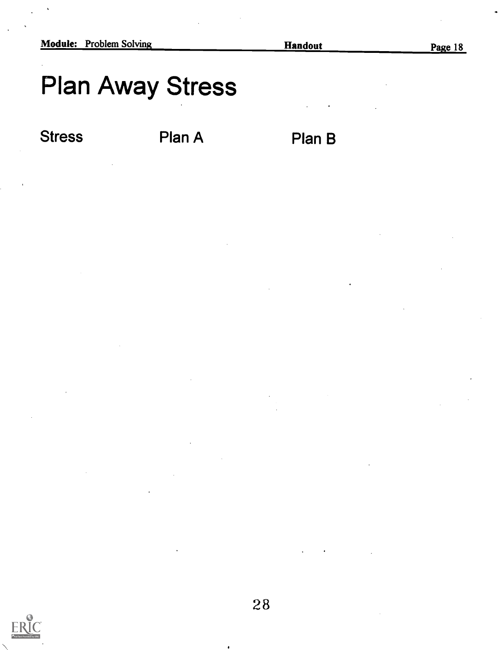# Plan Away Stress

Stress Plan A Plan B

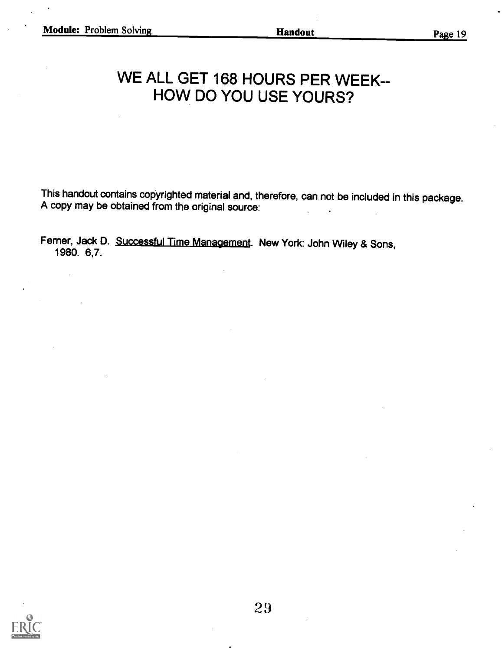# WE ALL GET 168 HOURS PER WEEK-- HOW DO YOU USE YOURS?

This handout contains copyrighted material and, therefore, can not be included in this package. A copy may be obtained from the original source:

Femer, Jack D. Successful Time Management. New York: John Wiley & Sons, 1980. 6,7.

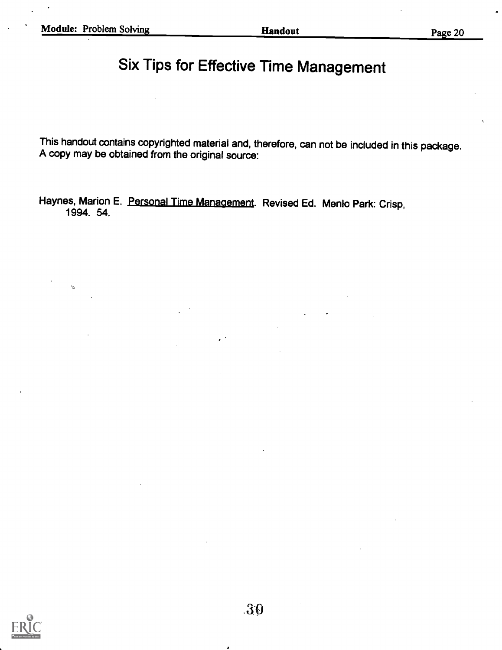$\mathcal{O}$ 

# Six Tips for Effective Time Management

This handout contains copyrighted material and, therefore, can not be included in this package. A copy may be obtained from the original source:

Haynes, Marion E. Personal Time Management. Revised Ed. Menlo Park: Crisp, 1994. 54.

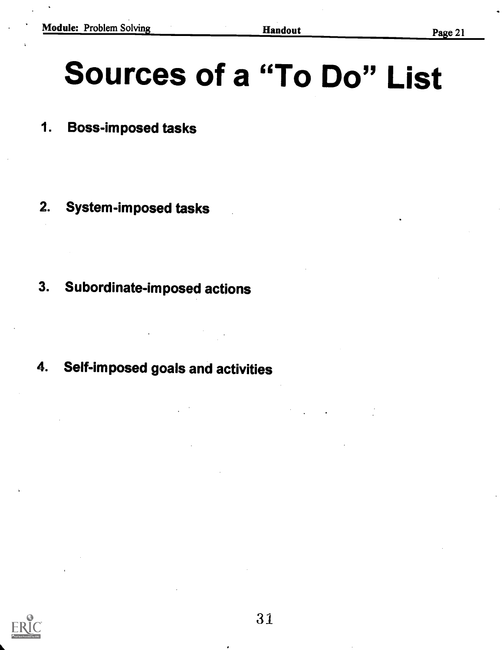# Sources of a "To Do" List

- 1. Boss-imposed tasks
- 2. System-imposed tasks
- 3. Subordinate-imposed actions
- 4. Self-imposed goals and activities

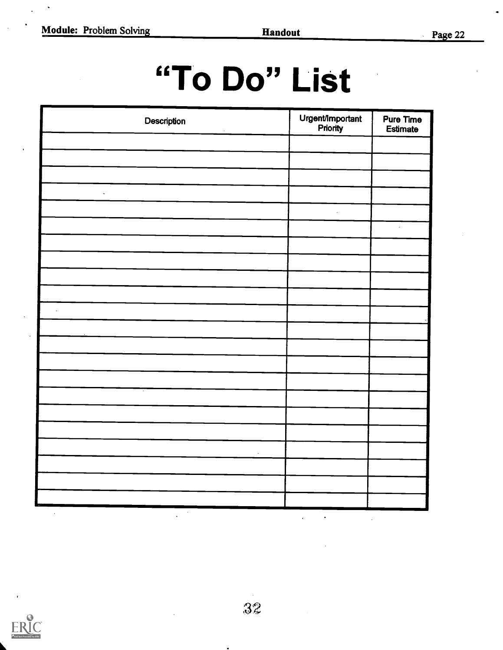# "To Do" List

| Description          | Urgent/Important | Pure Time<br>Estimate |
|----------------------|------------------|-----------------------|
|                      |                  |                       |
|                      |                  |                       |
| $\downarrow$         |                  |                       |
|                      |                  | $\Box$                |
|                      |                  |                       |
|                      |                  |                       |
|                      |                  |                       |
| $\ddot{\phantom{a}}$ |                  |                       |
|                      |                  |                       |
|                      |                  |                       |
|                      |                  |                       |
|                      |                  |                       |
| ×                    |                  |                       |
|                      |                  |                       |
|                      |                  |                       |
|                      |                  |                       |

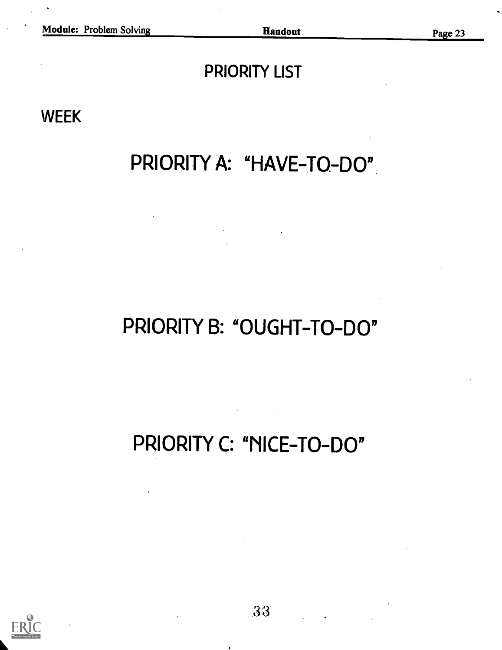# PRIORITY LIST

WEEK

# PRIORITY A: "HAVE-TO-DO"

# PRIORITY B: "OUGHT-TO-DO"

PRIORITY C: "NICE-TO-DO"

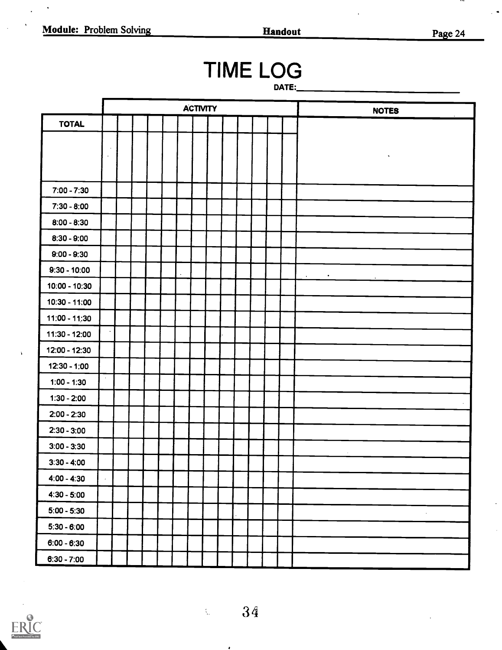$\ddot{\phantom{a}}$ 

 $\ddot{\phantom{a}}$ 

Page 24

 $\ddot{}$ 

 $\ddot{\phantom{1}}$ 

# **TIME LOG**

DATE:

|                 |            |  |  |  | <b>ACTIVITY</b> |  |  | <b>NOTES</b>           |
|-----------------|------------|--|--|--|-----------------|--|--|------------------------|
| <b>TOTAL</b>    |            |  |  |  |                 |  |  |                        |
|                 |            |  |  |  |                 |  |  |                        |
|                 | $\Box$     |  |  |  |                 |  |  |                        |
|                 |            |  |  |  |                 |  |  |                        |
| $7:00 - 7:30$   |            |  |  |  |                 |  |  |                        |
| $7:30 - 8:00$   |            |  |  |  |                 |  |  |                        |
| $8:00 - 8:30$   |            |  |  |  |                 |  |  |                        |
| $8:30 - 9:00$   |            |  |  |  |                 |  |  |                        |
| $9:00 - 9:30$   |            |  |  |  |                 |  |  |                        |
| $9:30 - 10:00$  |            |  |  |  |                 |  |  | $\bullet$<br>$\bullet$ |
| 10:00 - 10:30   |            |  |  |  |                 |  |  |                        |
| $10:30 - 11:00$ |            |  |  |  |                 |  |  |                        |
| $11:00 - 11:30$ |            |  |  |  |                 |  |  |                        |
| 11:30 - 12:00   |            |  |  |  |                 |  |  |                        |
| 12:00 - 12:30   |            |  |  |  |                 |  |  |                        |
| $12:30 - 1:00$  |            |  |  |  |                 |  |  |                        |
| $1:00 - 1:30$   |            |  |  |  |                 |  |  |                        |
| $1:30 - 2:00$   |            |  |  |  |                 |  |  |                        |
| $2:00 - 2:30$   |            |  |  |  |                 |  |  |                        |
| $2:30 - 3:00$   |            |  |  |  |                 |  |  |                        |
| $3:00 - 3:30$   |            |  |  |  |                 |  |  |                        |
| $3:30 - 4:00$   |            |  |  |  |                 |  |  |                        |
| $4:00 - 4:30$   | $\epsilon$ |  |  |  |                 |  |  |                        |
| $4:30 - 5:00$   |            |  |  |  |                 |  |  |                        |
| $5:00 - 5:30$   |            |  |  |  |                 |  |  | $\boldsymbol{\gamma}$  |
| $5:30 - 6:00$   |            |  |  |  |                 |  |  |                        |
| $6:00 - 6:30$   |            |  |  |  |                 |  |  |                        |
| $6:30 - 7:00$   |            |  |  |  |                 |  |  |                        |



 $\bullet$ 

 $\hat{\lambda}_{\mu}$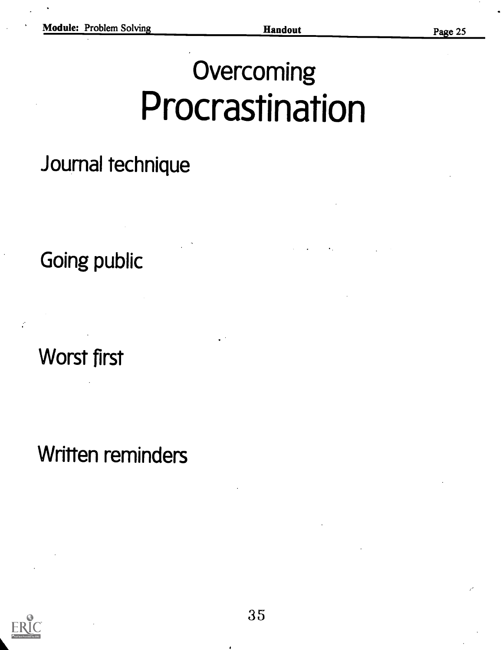# **Overcoming** Procrastination

# Journal technique

Going public

Worst first

Written reminders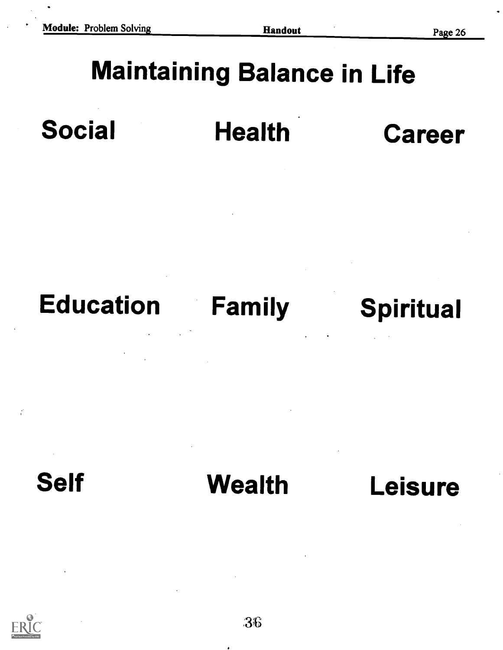# Maintaining Balance in Life





# Self Wealth Leisure

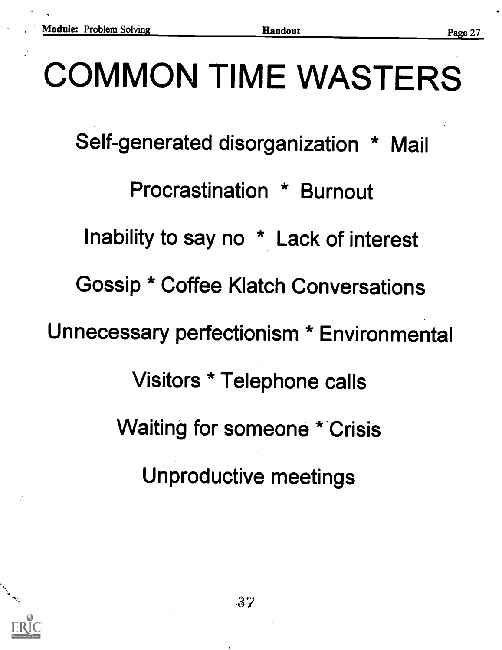# COMMON TIME WASTERS

Self-generated disorganization \* Mail

Procrastination \* Burnout

Inability to say no \* Lack of interest

Gossip \* Coffee Klatch Conversations

Unnecessary perfectionism \* Environmental

Visitors \* Telephone calls

Waiting for someone \* Crisis

Unproductive meetings

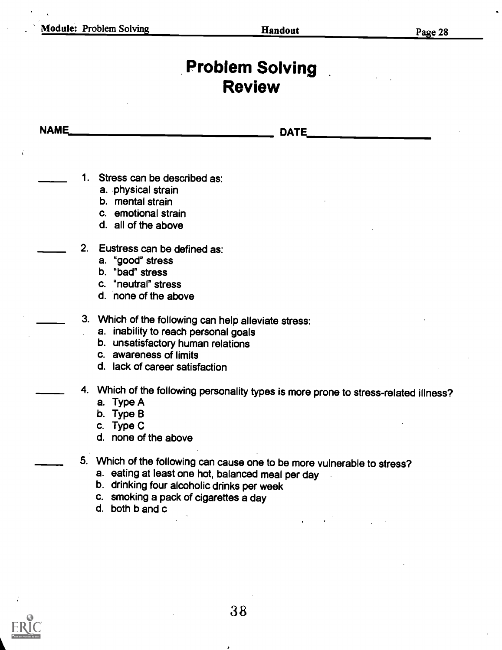$\vec{v}$ 

# **Problem Solving** Review

| <b>NAME</b> | <b>DATE</b>                                                                          |
|-------------|--------------------------------------------------------------------------------------|
|             | 1. Stress can be described as:                                                       |
|             | a. physical strain                                                                   |
|             | b. mental strain                                                                     |
|             | c. emotional strain                                                                  |
|             | d. all of the above                                                                  |
|             | 2. Eustress can be defined as:                                                       |
|             | a. "good" stress                                                                     |
|             | b. "bad" stress                                                                      |
|             | c. "neutral" stress                                                                  |
|             | d. none of the above                                                                 |
|             | 3. Which of the following can help alleviate stress:                                 |
|             | a. inability to reach personal goals                                                 |
|             | b. unsatisfactory human relations                                                    |
|             | c. awareness of limits                                                               |
|             | d. lack of career satisfaction                                                       |
|             | 4. Which of the following personality types is more prone to stress-related illness? |
|             | a. Type A                                                                            |
|             | b. Type B                                                                            |
|             | c. Type C                                                                            |
|             | d. none of the above                                                                 |
|             | 5. Which of the following can cause one to be more vulnerable to stress?             |
|             | a. eating at least one hot, balanced meal per day                                    |
|             | b. drinking four alcoholic drinks per week                                           |
|             | c. smoking a pack of cigarettes a day                                                |
|             | d. both b and c                                                                      |



٠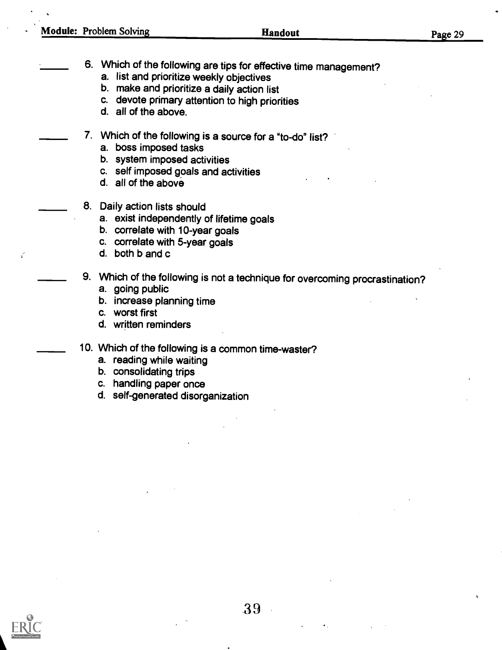- 6. Which of the following are tips for effective time management?
	- a. list and prioritize weekly objectives
	- b. make and prioritize a daily action list
	- c. devote primary attention to high priorities
	- d. all of the above.
- 7. Which of the following is a source for a "to-do" list?
	- a. boss imposed tasks
	- b. system imposed activities
	- c. self imposed goals and activities
	- d. all of the above
- 8. Daily action lists should
	- a. exist independently of lifetime goals
	- b. correlate with 10-year goals
	- c. correlate with 5-year goals
	- d. both b and c
- 9. Which of the following is not a technique for overcoming procrastination? a. going public
	-
	- b. increase planning time
	- c. worst first
	- d. written reminders
- 10. Which of the following is a common time-waster?
	- a. reading while waiting
	- b. consolidating trips
	- c. handling paper once
	- d. self-generated disorganization

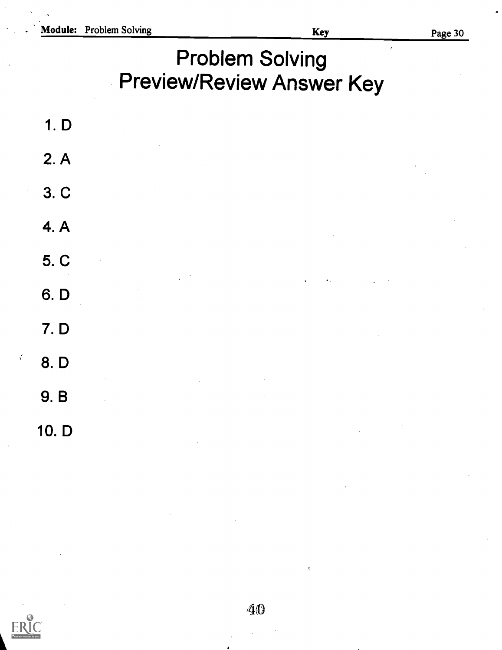$\overline{1}$ 

# Problem Solving Preview/Review Answer Key

1. D 2. A 3. C 4. A 5. C 6. D 7. D 8. D 9. B 10. D

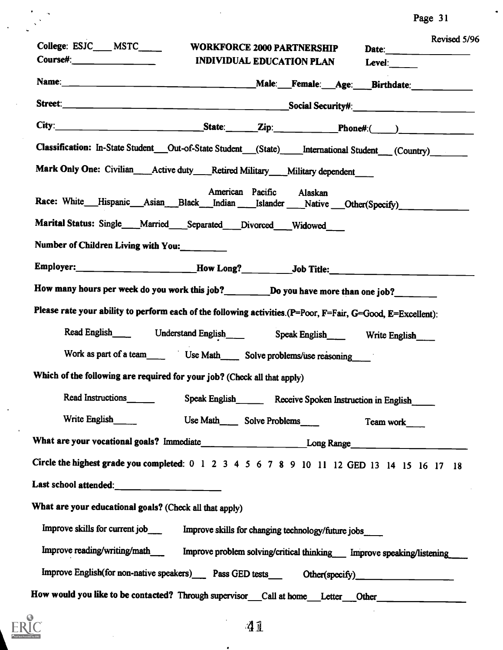| Page 31 |  |  |
|---------|--|--|
|---------|--|--|

| Revised 5/96<br>College: ESJC____ MSTC____<br><b>WORKFORCE 2000 PARTNERSHIP</b><br>Date:<br>$Course\#:\_$<br><b>INDIVIDUAL EDUCATION PLAN</b><br>Level: $\qquad \qquad$ |
|-------------------------------------------------------------------------------------------------------------------------------------------------------------------------|
|                                                                                                                                                                         |
|                                                                                                                                                                         |
|                                                                                                                                                                         |
| Classification: In-State Student ___ Out-of-State Student ___ (State) _____ International Student ___ (Country) ________                                                |
| Mark Only One: Civilian__Active duty__Retired Military__Military dependent____                                                                                          |
| American Pacific Alaskan<br>Race: White__Hispanic__Asian__Black__Indian ___Islander ___Native __Other(Specify)_________________                                         |
| Marital Status: Single ___Married ___Separated ___Divorced ___Widowed                                                                                                   |
| Number of Children Living with You:                                                                                                                                     |
| Employer:__________________________How Long?___________Job Title:___________________________________                                                                    |
| How many hours per week do you work this job?____________Do you have more than one job?__________                                                                       |
| Please rate your ability to perform each of the following activities. (P=Poor, F=Fair, G=Good, E=Excellent):                                                            |
| Read English Understand English Speak English Write English                                                                                                             |
|                                                                                                                                                                         |
| Which of the following are required for your job? (Check all that apply)                                                                                                |
| Read Instructions<br>Speak English Receive Spoken Instruction in English                                                                                                |
| Write English<br>Use Math________ Solve Problems______<br>Team work                                                                                                     |
| What are your vocational goals? Immediate__________________________Long Range_______________________                                                                    |
| Circle the highest grade you completed: 0 1 2 3 4 5 6 7 8 9 10 11 12 GED 13 14 15 16 17 18                                                                              |
|                                                                                                                                                                         |
| What are your educational goals? (Check all that apply)                                                                                                                 |
| Improve skills for current job__________ Improve skills for changing technology/future jobs______                                                                       |
| Improve reading/writing/math_______ Improve problem solving/critical thinking____ Improve speaking/listening                                                            |
|                                                                                                                                                                         |
| How would you like to be contacted? Through supervisor_call at home__Letter__Other_________________                                                                     |

 $\ddot{\cdot}$ 



 $\frac{1}{2}$ 

 $\ddot{\phantom{0}}$ 

 $\sim$   $\sim$ 

 $\ddot{\phantom{a}}$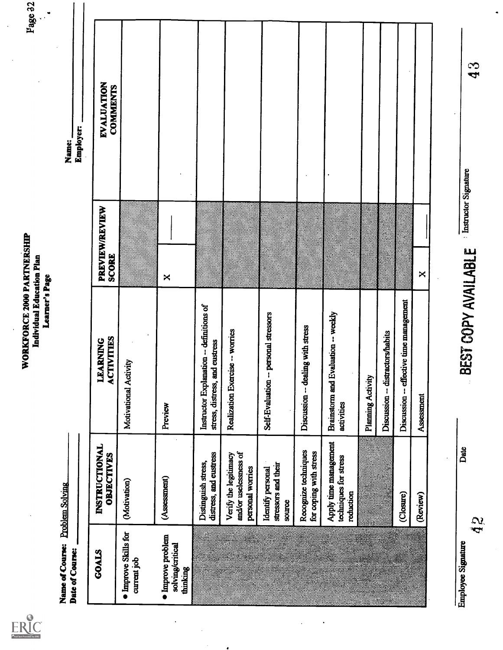| Full Text Provided by ERIC |
|----------------------------|

 $\ddot{\phantom{0}}$ 

 $\ddot{\phantom{a}}$ 

 $\frac{1}{2}$ 

 $\bullet$ 

| Name of Course: Problem Solving<br>Date of Course: |                                                                    |                                                                            |                                                 | <b>Employer:</b><br>Name:     |  |
|----------------------------------------------------|--------------------------------------------------------------------|----------------------------------------------------------------------------|-------------------------------------------------|-------------------------------|--|
|                                                    |                                                                    |                                                                            |                                                 |                               |  |
| GOALS                                              | INSTRUCTIONAL<br>OBJECTIVES                                        | <b>LEARNING</b><br>ACTIVITIES                                              | PREVIEW/REVIEW<br>SCORE                         | EVALUATION<br><b>COMMENTS</b> |  |
| · Improve Skills for<br>current job                | (Motivation)                                                       | Motivational Activity                                                      |                                                 |                               |  |
| · Improve problem<br>solving/critical<br>thinking  | (Assessment)                                                       | Preview                                                                    | $\Join$                                         |                               |  |
|                                                    | distress, and eustress<br>Distinguish stress,                      | Instructor Explanation -- definitions of<br>stress, distress, and eustress |                                                 |                               |  |
|                                                    | and/or uselessness of<br>Verify the legitimacy<br>personal worries | Realization Exercise -- worries                                            |                                                 |                               |  |
|                                                    | stressors and their<br>Identify personal<br>source                 | Self-Evaluation -- personal stressors                                      |                                                 |                               |  |
|                                                    | Recognize techniques<br>for coping with stress                     | Discussion -- dealing with stress                                          |                                                 |                               |  |
|                                                    | Apply time management<br>techniques for stress<br>reduction        | Brainstorm and Evaluation -- weekly<br>activities                          |                                                 |                               |  |
|                                                    |                                                                    | Planning Activity                                                          |                                                 |                               |  |
|                                                    |                                                                    | Discussion -- distractors/habits                                           |                                                 |                               |  |
|                                                    | (Closure)                                                          | Discussion -- effective time management                                    |                                                 |                               |  |
|                                                    | (Review)                                                           | Assessment                                                                 | ×                                               |                               |  |
|                                                    |                                                                    |                                                                            |                                                 |                               |  |
| $\mathbf{q}$<br>Employee Signature                 | Date                                                               | $\hat{\mathbb{X}}$                                                         | <b>BEST COPY AVAILABLE</b> Instructor Signature | $\boldsymbol{43}$             |  |
|                                                    |                                                                    |                                                                            |                                                 |                               |  |
|                                                    |                                                                    |                                                                            |                                                 |                               |  |